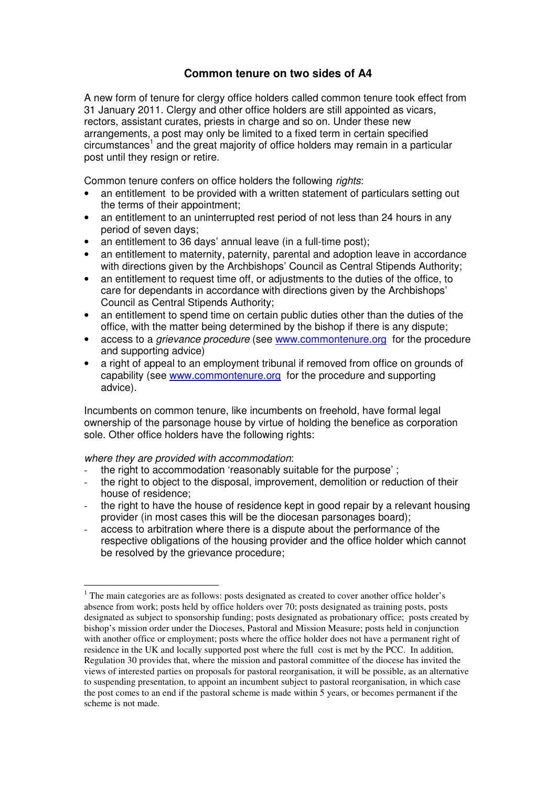## **Common tenure on two sides of A4**

A new form of tenure for clergy office holders called common tenure took effect from 31 January 2011. Clergy and other office holders are still appointed as vicars, rectors, assistant curates, priests in charge and so on. Under these new arrangements, a post may only be limited to a fixed term in certain specified circumstances<sup>1</sup> and the great majority of office holders may remain in a particular post until they resign or retire.

Common tenure confers on office holders the following rights:

- an entitlement to be provided with a written statement of particulars setting out the terms of their appointment;
- an entitlement to an uninterrupted rest period of not less than 24 hours in any period of seven days;
- an entitlement to 36 days' annual leave (in a full-time post);
- an entitlement to maternity, paternity, parental and adoption leave in accordance with directions given by the Archbishops' Council as Central Stipends Authority;
- an entitlement to request time off, or adjustments to the duties of the office, to care for dependants in accordance with directions given by the Archbishops' Council as Central Stipends Authority;
- an entitlement to spend time on certain public duties other than the duties of the office, with the matter being determined by the bishop if there is any dispute;
- access to a *grievance procedure* (see www.commontenure.org for the procedure and supporting advice)
- a right of appeal to an employment tribunal if removed from office on grounds of capability (see www.commontenure.org for the procedure and supporting advice).

Incumbents on common tenure, like incumbents on freehold, have formal legal ownership of the parsonage house by virtue of holding the benefice as corporation sole. Other office holders have the following rights:

where they are provided with accommodation:

 $\overline{a}$ 

- the right to accommodation 'reasonably suitable for the purpose' ;
- the right to object to the disposal, improvement, demolition or reduction of their house of residence;
- the right to have the house of residence kept in good repair by a relevant housing provider (in most cases this will be the diocesan parsonages board);
- access to arbitration where there is a dispute about the performance of the respective obligations of the housing provider and the office holder which cannot be resolved by the grievance procedure;

 $1$  The main categories are as follows: posts designated as created to cover another office holder's absence from work; posts held by office holders over 70; posts designated as training posts, posts designated as subject to sponsorship funding; posts designated as probationary office; posts created by bishop's mission order under the Dioceses, Pastoral and Mission Measure; posts held in conjunction with another office or employment; posts where the office holder does not have a permanent right of residence in the UK and locally supported post where the full cost is met by the PCC. In addition, Regulation 30 provides that, where the mission and pastoral committee of the diocese has invited the views of interested parties on proposals for pastoral reorganisation, it will be possible, as an alternative to suspending presentation, to appoint an incumbent subject to pastoral reorganisation, in which case the post comes to an end if the pastoral scheme is made within 5 years, or becomes permanent if the scheme is not made.